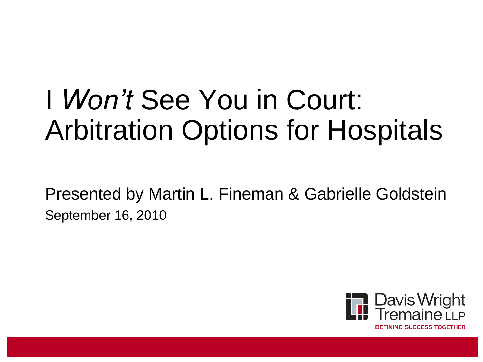## I *Won't* See You in Court: Arbitration Options for Hospitals

Presented by Martin L. Fineman & Gabrielle Goldstein September 16, 2010

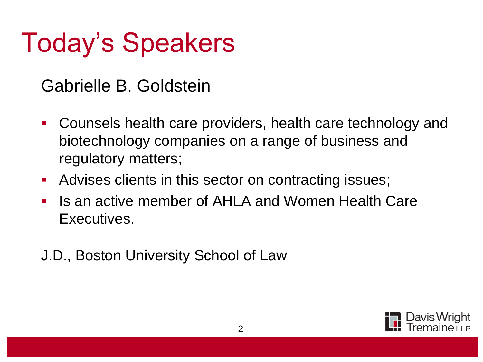## Today's Speakers

Gabrielle B. Goldstein

- Counsels health care providers, health care technology and biotechnology companies on a range of business and regulatory matters;
- **Advises clients in this sector on contracting issues;**
- Is an active member of AHLA and Women Health Care Executives.

J.D., Boston University School of Law

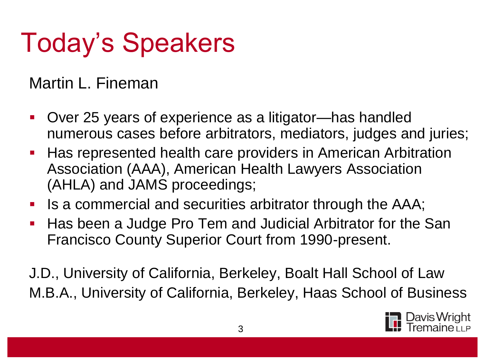# Today's Speakers

#### Martin L. Fineman

- Over 25 years of experience as a litigator—has handled numerous cases before arbitrators, mediators, judges and juries;
- Has represented health care providers in American Arbitration Association (AAA), American Health Lawyers Association (AHLA) and JAMS proceedings;
- Is a commercial and securities arbitrator through the AAA;
- Has been a Judge Pro Tem and Judicial Arbitrator for the San Francisco County Superior Court from 1990-present.

J.D., University of California, Berkeley, Boalt Hall School of Law M.B.A., University of California, Berkeley, Haas School of Business

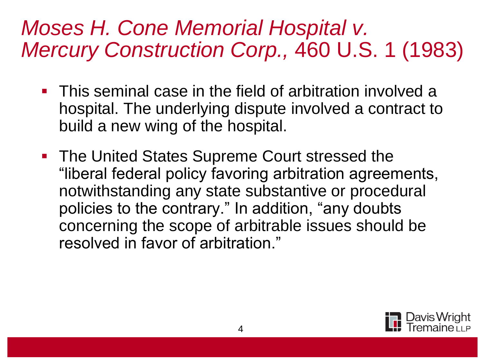#### *Moses H. Cone Memorial Hospital v. Mercury Construction Corp.,* 460 U.S. 1 (1983)

- **This seminal case in the field of arbitration involved a** hospital. The underlying dispute involved a contract to build a new wing of the hospital.
- **The United States Supreme Court stressed the** "liberal federal policy favoring arbitration agreements, notwithstanding any state substantive or procedural policies to the contrary." In addition, "any doubts concerning the scope of arbitrable issues should be resolved in favor of arbitration."

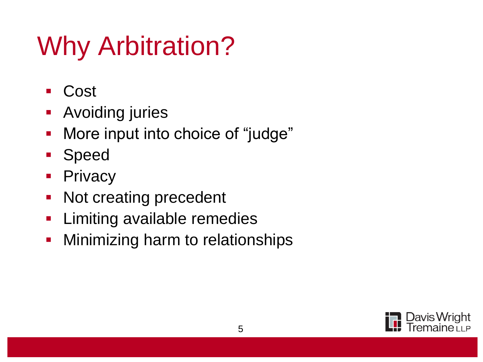# Why Arbitration?

- Cost
- **Avoiding juries**
- **More input into choice of "judge"**
- **Speed**
- **Privacy**
- Not creating precedent
- **Limiting available remedies**
- **Ninimizing harm to relationships**

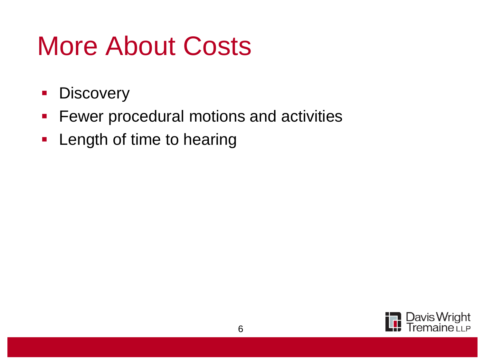### More About Costs

- **Discovery**
- **Fewer procedural motions and activities**
- **Length of time to hearing**

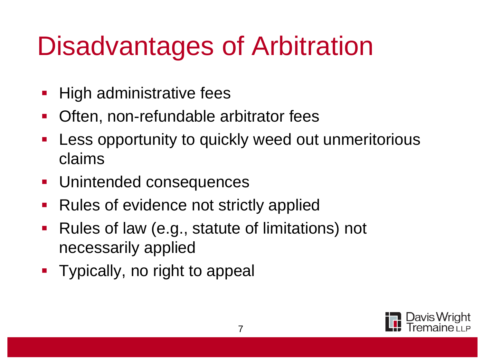## Disadvantages of Arbitration

- High administrative fees
- Often, non-refundable arbitrator fees
- Less opportunity to quickly weed out unmeritorious claims
- **Unintended consequences**
- Rules of evidence not strictly applied
- **Rules of law (e.g., statute of limitations) not** necessarily applied
- Typically, no right to appeal

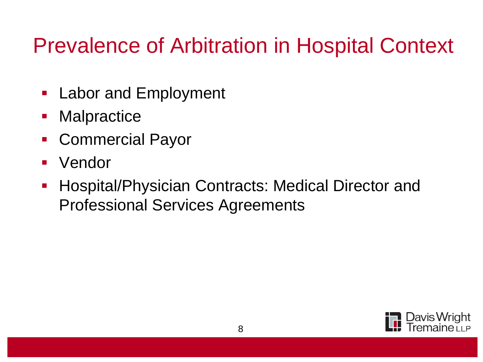#### Prevalence of Arbitration in Hospital Context

- **-** Labor and Employment
- **Malpractice**
- Commercial Payor
- **•** Vendor
- **Hospital/Physician Contracts: Medical Director and** Professional Services Agreements

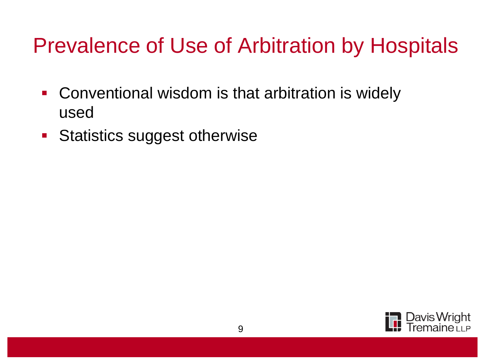#### Prevalence of Use of Arbitration by Hospitals

- **Conventional wisdom is that arbitration is widely** used
- **Statistics suggest otherwise**

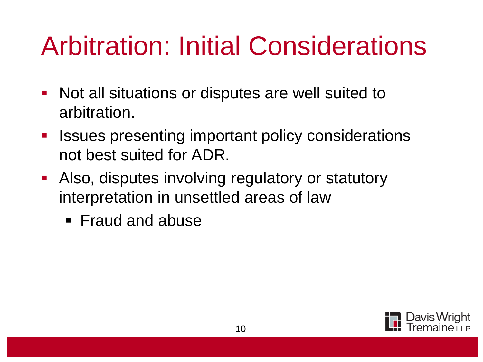## Arbitration: Initial Considerations

- Not all situations or disputes are well suited to arbitration.
- **EXE** Issues presenting important policy considerations not best suited for ADR.
- Also, disputes involving regulatory or statutory interpretation in unsettled areas of law
	- **Fraud and abuse**

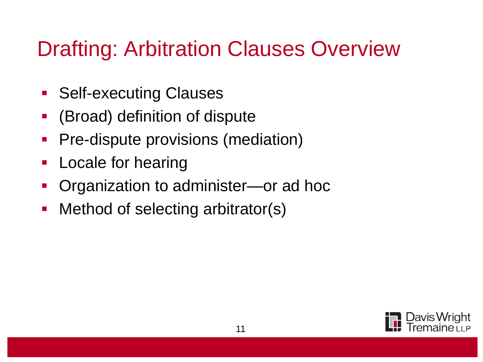#### Drafting: Arbitration Clauses Overview

- **Self-executing Clauses**
- (Broad) definition of dispute
- **Pre-dispute provisions (mediation)**
- **Locale for hearing**
- Organization to administer—or ad hoc
- Method of selecting arbitrator(s)

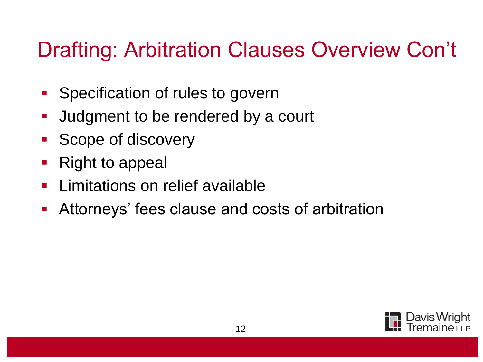#### Drafting: Arbitration Clauses Overview Con't

- **Specification of rules to governed**
- **Judgment to be rendered by a court**
- Scope of discovery
- Right to appeal
- **Limitations on relief available**
- Attorneys' fees clause and costs of arbitration

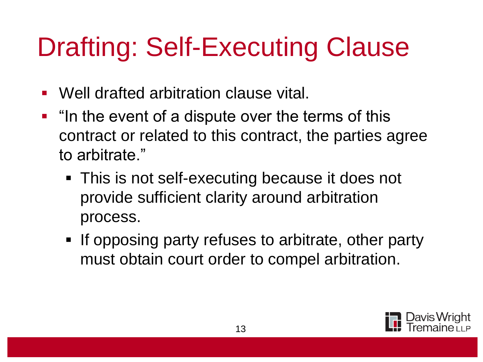# Drafting: Self-Executing Clause

- Well drafted arbitration clause vital.
- $\blacksquare$  "In the event of a dispute over the terms of this contract or related to this contract, the parties agree to arbitrate."
	- This is not self-executing because it does not provide sufficient clarity around arbitration process.
	- If opposing party refuses to arbitrate, other party must obtain court order to compel arbitration.

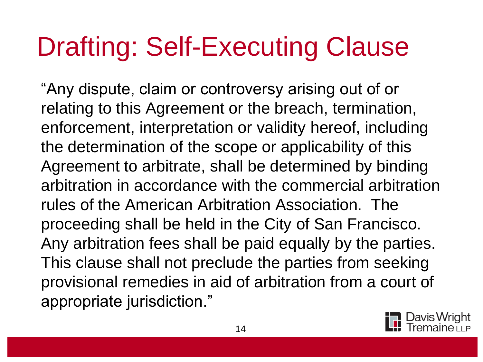# Drafting: Self-Executing Clause

"Any dispute, claim or controversy arising out of or relating to this Agreement or the breach, termination, enforcement, interpretation or validity hereof, including the determination of the scope or applicability of this Agreement to arbitrate, shall be determined by binding arbitration in accordance with the commercial arbitration rules of the American Arbitration Association. The proceeding shall be held in the City of San Francisco. Any arbitration fees shall be paid equally by the parties. This clause shall not preclude the parties from seeking provisional remedies in aid of arbitration from a court of appropriate jurisdiction."

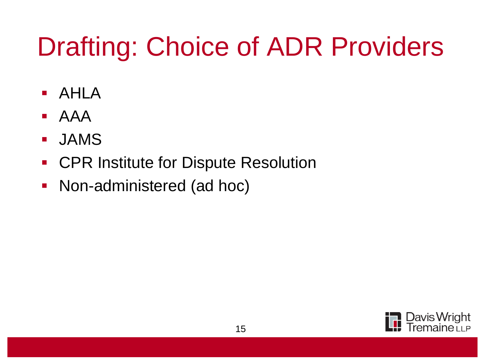# Drafting: Choice of ADR Providers

- AHLA
- AAA
- JAMS
- **CPR Institute for Dispute Resolution**
- Non-administered (ad hoc)

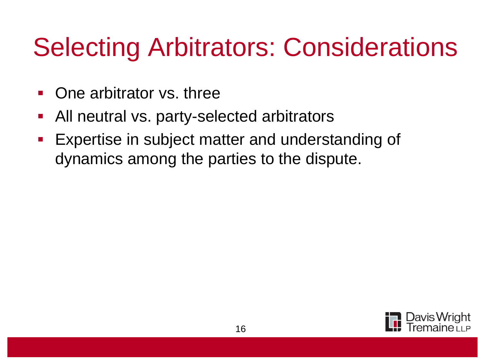### Selecting Arbitrators: Considerations

- One arbitrator vs. three
- All neutral vs. party-selected arbitrators
- Expertise in subject matter and understanding of dynamics among the parties to the dispute.

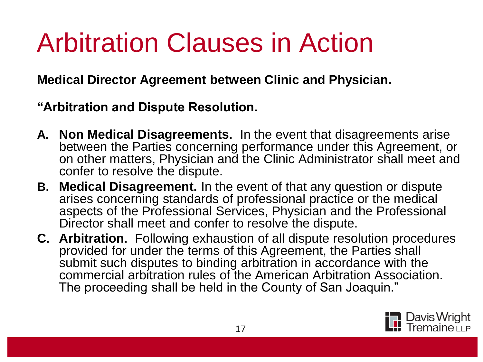## Arbitration Clauses in Action

**Medical Director Agreement between Clinic and Physician.**

**"Arbitration and Dispute Resolution.**

- **A. Non Medical Disagreements.** In the event that disagreements arise between the Parties concerning performance under this Agreement, or on other matters, Physician and the Clinic Administrator shall meet and confer to resolve the dispute.
- **B. Medical Disagreement.** In the event of that any question or dispute arises concerning standards of professional practice or the medical aspects of the Professional Services, Physician and the Professional Director shall meet and confer to resolve the dispute.
- **C. Arbitration.** Following exhaustion of all dispute resolution procedures provided for under the terms of this Agreement, the Parties shall submit such disputes to binding arbitration in accordance with the commercial arbitration rules of the American Arbitration Association. The proceeding shall be held in the County of San Joaquin."

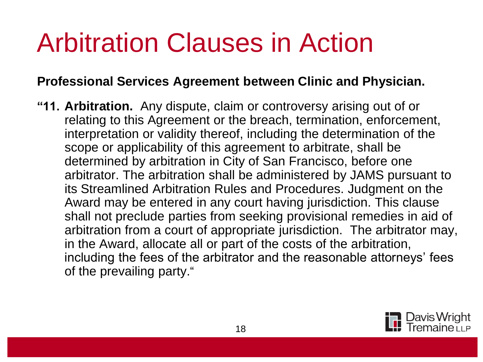#### Arbitration Clauses in Action

#### **Professional Services Agreement between Clinic and Physician.**

**"11. Arbitration.** Any dispute, claim or controversy arising out of or relating to this Agreement or the breach, termination, enforcement, interpretation or validity thereof, including the determination of the scope or applicability of this agreement to arbitrate, shall be determined by arbitration in City of San Francisco, before one arbitrator. The arbitration shall be administered by JAMS pursuant to its Streamlined Arbitration Rules and Procedures. Judgment on the Award may be entered in any court having jurisdiction. This clause shall not preclude parties from seeking provisional remedies in aid of arbitration from a court of appropriate jurisdiction. The arbitrator may, in the Award, allocate all or part of the costs of the arbitration, including the fees of the arbitrator and the reasonable attorneys' fees of the prevailing party."

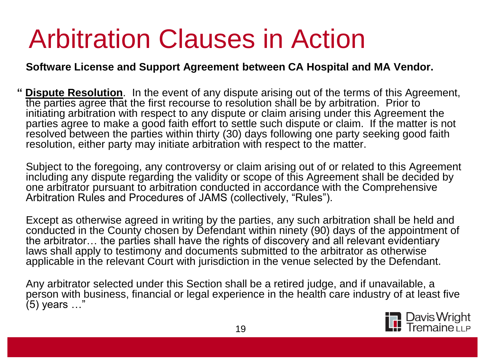### Arbitration Clauses in Action

#### **Software License and Support Agreement between CA Hospital and MA Vendor.**

**" Dispute Resolution**. In the event of any dispute arising out of the terms of this Agreement, the parties agree that the first recourse to resolution shall be by arbitration. Prior to initiating arbitration with respect to any dispute or claim arising under this Agreement the parties agree to make a good faith effort to settle such dispute or claim. If the matter is not resolved between the parties within thirty (30) days following one party seeking good faith resolution, either party may initiate arbitration with respect to the matter.

Subject to the foregoing, any controversy or claim arising out of or related to this Agreement including any dispute regarding the validity or scope of this Agreement shall be decided by one arbitrator pursuant to arbitration conducted in accordance with the Comprehensive Arbitration Rules and Procedures of JAMS (collectively, "Rules").

Except as otherwise agreed in writing by the parties, any such arbitration shall be held and conducted in the County chosen by Defendant within ninety (90) days of the appointment of the arbitrator… the parties shall have the rights of discovery and all relevant evidentiary laws shall apply to testimony and documents submitted to the arbitrator as otherwise applicable in the relevant Court with jurisdiction in the venue selected by the Defendant.

Any arbitrator selected under this Section shall be a retired judge, and if unavailable, a person with business, financial or legal experience in the health care industry of at least five (5) years …"

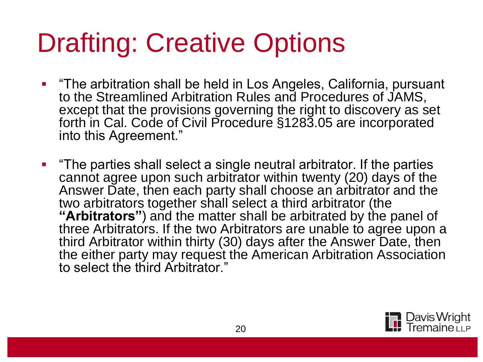## Drafting: Creative Options

- **The arbitration shall be held in Los Angeles, California, pursuant** to the Streamlined Arbitration Rules and Procedures of JAMS, except that the provisions governing the right to discovery as set forth in Cal. Code of Civil Procedure §1283.05 are incorporated into this Agreement."
- **The parties shall select a single neutral arbitrator. If the parties** cannot agree upon such arbitrator within twenty (20) days of the Answer Date, then each party shall choose an arbitrator and the two arbitrators together shall select a third arbitrator (the "Arbitrators") and the matter shall be arbitrated by the panel of three Arbitrators. If the two Arbitrators are unable to agree upon a third Arbitrator within thirty (30) days after the Answer Date, then the either party may request the American Arbitration Association to select the third Arbitrator."

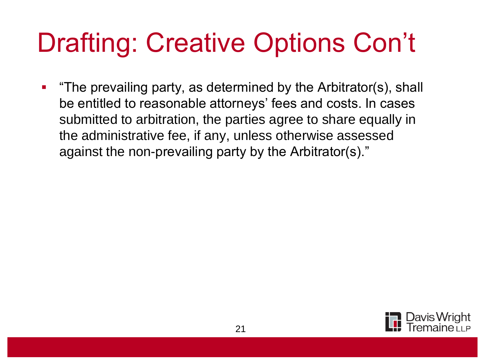#### Drafting: Creative Options Con't

**The prevailing party, as determined by the Arbitrator(s), shall** be entitled to reasonable attorneys' fees and costs. In cases submitted to arbitration, the parties agree to share equally in the administrative fee, if any, unless otherwise assessed against the non-prevailing party by the Arbitrator(s)."